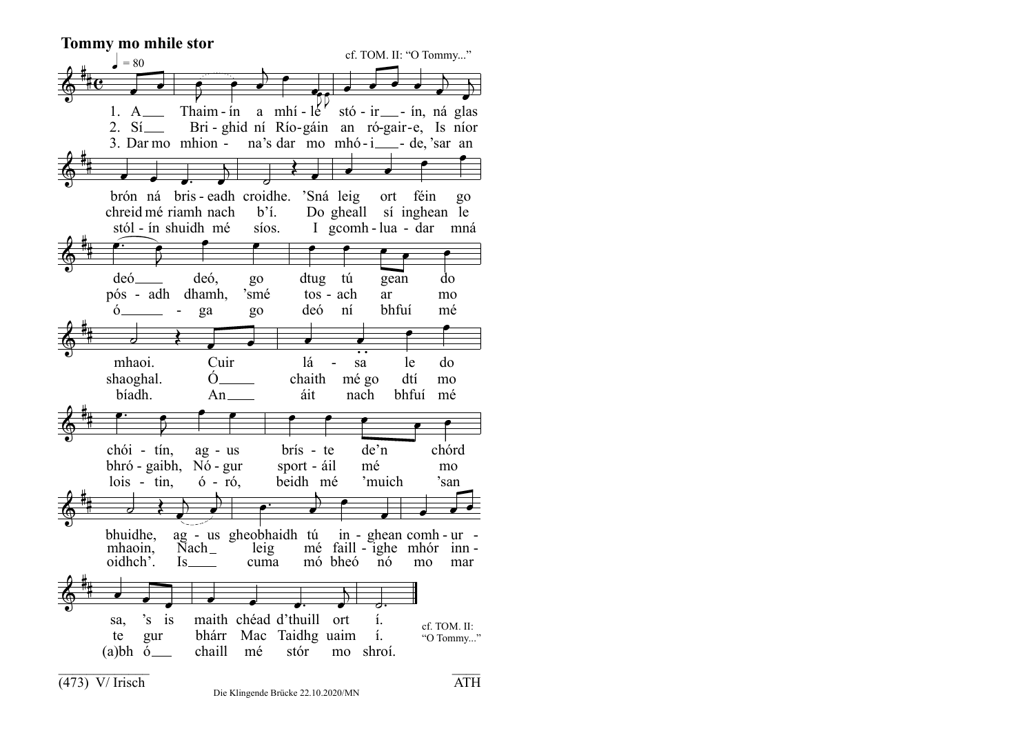$\Phi$ -- $\overline{\mathbf{e}}$  $\overline{\phantom{a}}$ 1. A 2. Sí 3. Dar mo mhion - na's dar mo mhó-i — - de, 'sar an  $\overline{\phantom{a}}$  $\overline{\bullet}$  $\overrightarrow{r}$  Thaim - in a mhí - le stó - ir - in, ná Bri - ghid ní Río-gáin an ró-gair- e, Is níor è  $\overline{\phantom{a}}$  $\overline{a}$ P  $\overline{\phantom{a}}$  $\overline{\phantom{a}}$  $\overline{\bullet}$  $\overline{\phantom{a}}$  $\overline{\phantom{a}}$  $\overline{\phantom{a}}$  $\overline{a}$  $\overline{\bullet}$  $\overline{\phantom{0}}$ glas  $\Phi$ -- $\overline{\phantom{a}}$ brón ná chreid mé riamh nach stól - ín shuidh mé  $\overline{\phantom{a}}$ ₹. bris -  $\overline{\phantom{a}}$  $\overline{\phantom{0}}$ eadh  $\overline{\phantom{0}}$ croidhe. 'Sná leig b'í. síos.  $\frac{1}{2}$  $\overline{\phantom{a}}$ Do gheall sí inghean le I gcomh - lua - dar mná  $\overline{\phantom{a}}$  $\overline{\phantom{a}}$ ort féin P r<br>P go  $\Phi$ ||<br>|| é deó pós - adh dhamh, ó  $\overline{\mathbf{S}}$  $\overline{ }$ - .<br>P deó, ga P go 'smé go P dtug tú tos - ach deó P ní  $\overline{\phantom{a}}$ gean ar bhfuí  $\overline{\phantom{a}}$ do mo mé  $\Phi$ ||<br>|| - $\overline{a}$ mhaoi. shaoghal. bíadh.  $\blacklozenge$  $\overline{\phantom{a}}$ Cuir  $\dot{O}$ An  $\overline{\phantom{a}}$ lá chaith áit  $\overline{\phantom{a}}$ sa mé go nach P le dtí bhfuí mé  $\bullet$ do mo  $\Phi$ ||<br>|| -<u>..</u> chói bhró - gaibh, Nó - gur lois - tin,  $\overline{\mathbf{S}}$ Ļ tín, P ag - us ó - ró, P  $\bullet$ brís - te sport - áil beidh mé P  $\overline{\phantom{a}}$ de'n mé 'muich  $\overline{\phantom{a}}$ chórd mo 'san  $\Phi$ -- $\overline{\phantom{0}}$ bhuidhe, mhaoin, oidhch'.  $\frac{1}{2}$  $\overline{\phantom{a}}$  $\overline{a}$ ag - us gheobhaidh tú Nach Is  $\overline{\phantom{a}}$  $\cdot$ leig cuma  $\overline{\phantom{a}}$ mé faill - ighe mhór inn mó bheó  $\bullet$ in - ghean comh - ur -  $\overline{\phantom{a}}$ nó  $\overline{\phantom{a}}$ mo  $\overline{\phantom{a}}$ mar  $\overline{\phantom{a}}$  $\Phi$ ||<br>|| - $\overline{\phantom{a}}$ sa, te (a)bh ó  $\overline{\phantom{a}}$ 's gur J is  $\overline{\phantom{a}}$ maith chéad bhárr Mac Taidhg uaim chaill mé  $\overline{\phantom{a}}$  $\overline{\phantom{a}}$ d'thuill stór  $\overline{\phantom{a}}$  $\overline{a}$ ort mo shroí.  $\frac{1}{2}$ í. í. **Tommy mo mhile stor**  $\bullet = 80$ kr cf. TOM. II: "O Tommy..." **. .** \_\_\_\_\_\_\_\_\_\_\_\_\_ \_\_\_\_ cf. TOM. II: "O Tommy..."